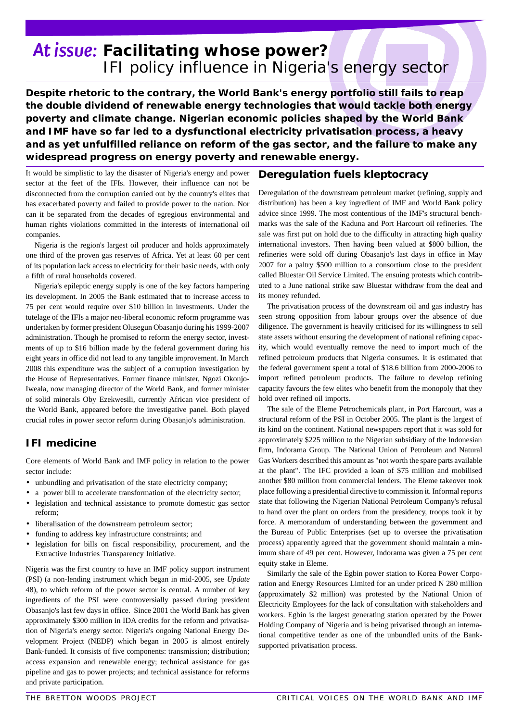# *Facilitating whose power? IFI policy influence in Nigeria's energy sector*

*Despite rhetoric to the contrary, the World Bank's energy portfolio still fails to reap the double dividend of renewable energy technologies that would tackle both energy poverty and climate change. Nigerian economic policies shaped by the World Bank and IMF have so far led to a dysfunctional electricity privatisation process, a heavy and as yet unfulfilled reliance on reform of the gas sector, and the failure to make any widespread progress on energy poverty and renewable energy.* 

It would be simplistic to lay the disaster of Nigeria's energy and power sector at the feet of the IFIs. However, their influence can not be disconnected from the corruption carried out by the country's elites that has exacerbated poverty and failed to provide power to the nation. Nor can it be separated from the decades of egregious environmental and human rights violations committed in the interests of international oil companies.

Nigeria is the region's largest oil producer and holds approximately one third of the proven gas reserves of Africa. Yet at least 60 per cent of its population lack access to electricity for their basic needs, with only a fifth of rural households covered.

Nigeria's epileptic energy supply is one of the key factors hampering its development. In 2005 the Bank estimated that to increase access to 75 per cent would require over \$10 billion in investments. Under the tutelage of the IFIs a major neo-liberal economic reform programme was undertaken by former president Olusegun Obasanjo during his 1999-2007 administration. Though he promised to reform the energy sector, investments of up to \$16 billion made by the federal government during his eight years in office did not lead to any tangible improvement. In March 2008 this expenditure was the subject of a corruption investigation by the House of Representatives. Former finance minister, Ngozi Okonjo-Iweala, now managing director of the World Bank, and former minister of solid minerals Oby Ezekwesili, currently African vice president of the World Bank, appeared before the investigative panel. Both played crucial roles in power sector reform during Obasanjo's administration.

## **IFI medicine**

Core elements of World Bank and IMF policy in relation to the power sector include:

- unbundling and privatisation of the state electricity company;
- a power bill to accelerate transformation of the electricity sector;
- legislation and technical assistance to promote domestic gas sector reform;
- liberalisation of the downstream petroleum sector;
- funding to address key infrastructure constraints; and
- legislation for bills on fiscal responsibility, procurement, and the Extractive Industries Transparency Initiative.

Nigeria was the first country to have an IMF policy support instrument (PSI) (a non-lending instrument which began in mid-2005, see *Update* 48), to which reform of the power sector is central. A number of key ingredients of the PSI were controversially passed during president Obasanjo's last few days in office. Since 2001 the World Bank has given approximately \$300 million in IDA credits for the reform and privatisation of Nigeria's energy sector. Nigeria's ongoing National Energy Development Project (NEDP) which began in 2005 is almost entirely Bank-funded. It consists of five components: transmission; distribution; access expansion and renewable energy; technical assistance for gas pipeline and gas to power projects; and technical assistance for reforms and private participation.

#### **Deregulation fuels kleptocracy**

Deregulation of the downstream petroleum market (refining, supply and distribution) has been a key ingredient of IMF and World Bank policy advice since 1999. The most contentious of the IMF's structural benchmarks was the sale of the Kaduna and Port Harcourt oil refineries. The sale was first put on hold due to the difficulty in attracting high quality international investors. Then having been valued at \$800 billion, the refineries were sold off during Obasanjo's last days in office in May 2007 for a paltry \$500 million to a consortium close to the president called Bluestar Oil Service Limited. The ensuing protests which contributed to a June national strike saw Bluestar withdraw from the deal and its money refunded.

The privatisation process of the downstream oil and gas industry has seen strong opposition from labour groups over the absence of due diligence. The government is heavily criticised for its willingness to sell state assets without ensuring the development of national refining capacity, which would eventually remove the need to import much of the refined petroleum products that Nigeria consumes. It is estimated that the federal government spent a total of \$18.6 billion from 2000-2006 to import refined petroleum products. The failure to develop refining capacity favours the few elites who benefit from the monopoly that they hold over refined oil imports.

The sale of the Eleme Petrochemicals plant, in Port Harcourt, was a structural reform of the PSI in October 2005. The plant is the largest of its kind on the continent. National newspapers report that it was sold for approximately \$225 million to the Nigerian subsidiary of the Indonesian firm, Indorama Group. The National Union of Petroleum and Natural Gas Workers described this amount as "not worth the spare parts available at the plant". The IFC provided a loan of \$75 million and mobilised another \$80 million from commercial lenders. The Eleme takeover took place following a presidential directive to commission it. Informal reports state that following the Nigerian National Petroleum Company's refusal to hand over the plant on orders from the presidency, troops took it by force. A memorandum of understanding between the government and the Bureau of Public Enterprises (set up to oversee the privatisation process) apparently agreed that the government should maintain a minimum share of 49 per cent. However, Indorama was given a 75 per cent equity stake in Eleme.

Similarly the sale of the Egbin power station to Korea Power Corporation and Energy Resources Limited for an under priced N 280 million (approximately \$2 million) was protested by the National Union of Electricity Employees for the lack of consultation with stakeholders and workers. Egbin is the largest generating station operated by the Power Holding Company of Nigeria and is being privatised through an international competitive tender as one of the unbundled units of the Banksupported privatisation process.